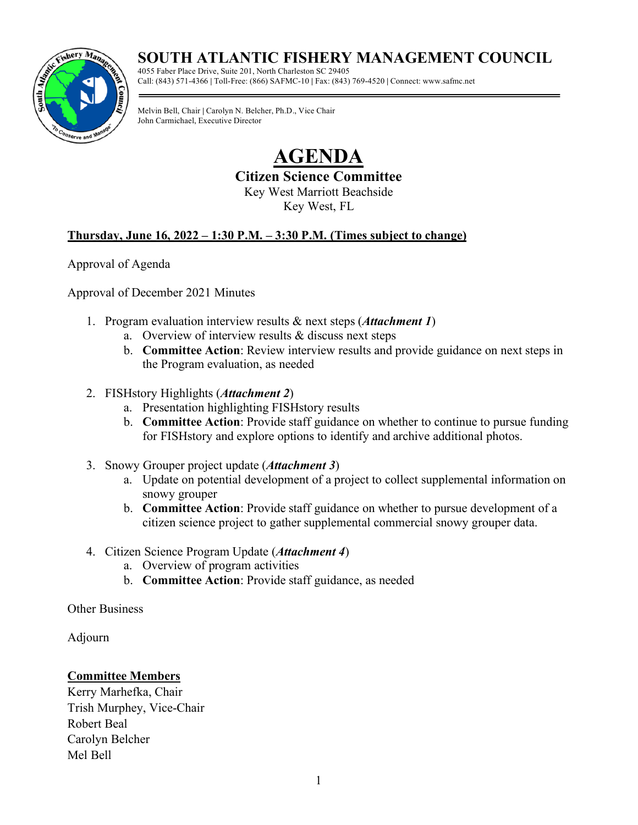## **SOUTH ATLANTIC FISHERY MANAGEMENT COUNCIL**



4055 Faber Place Drive, Suite 201, North Charleston SC 29405 Call: (843) 571-4366 **|** Toll-Free: (866) SAFMC-10 **|** Fax: (843) 769-4520 **|** Connect: www.safmc.net

Melvin Bell, Chair **|** Carolyn N. Belcher, Ph.D., Vice Chair John Carmichael, Executive Director

> **AGENDA Citizen Science Committee**  Key West Marriott Beachside Key West, FL

### **Thursday, June 16, 2022 – 1:30 P.M. – 3:30 P.M. (Times subject to change)**

Approval of Agenda

Approval of December 2021 Minutes

- 1. Program evaluation interview results & next steps (*Attachment 1*)
	- a. Overview of interview results & discuss next steps
	- b. **Committee Action**: Review interview results and provide guidance on next steps in the Program evaluation, as needed
- 2. FISHstory Highlights (*Attachment 2*)
	- a. Presentation highlighting FISHstory results
	- b. **Committee Action**: Provide staff guidance on whether to continue to pursue funding for FISHstory and explore options to identify and archive additional photos.
- 3. Snowy Grouper project update (*Attachment 3*)
	- a. Update on potential development of a project to collect supplemental information on snowy grouper
	- b. **Committee Action**: Provide staff guidance on whether to pursue development of a citizen science project to gather supplemental commercial snowy grouper data.
- 4. Citizen Science Program Update (*Attachment 4*)
	- a. Overview of program activities
	- b. **Committee Action**: Provide staff guidance, as needed

Other Business

Adjourn

### **Committee Members**

Kerry Marhefka, Chair Trish Murphey, Vice-Chair Robert Beal Carolyn Belcher Mel Bell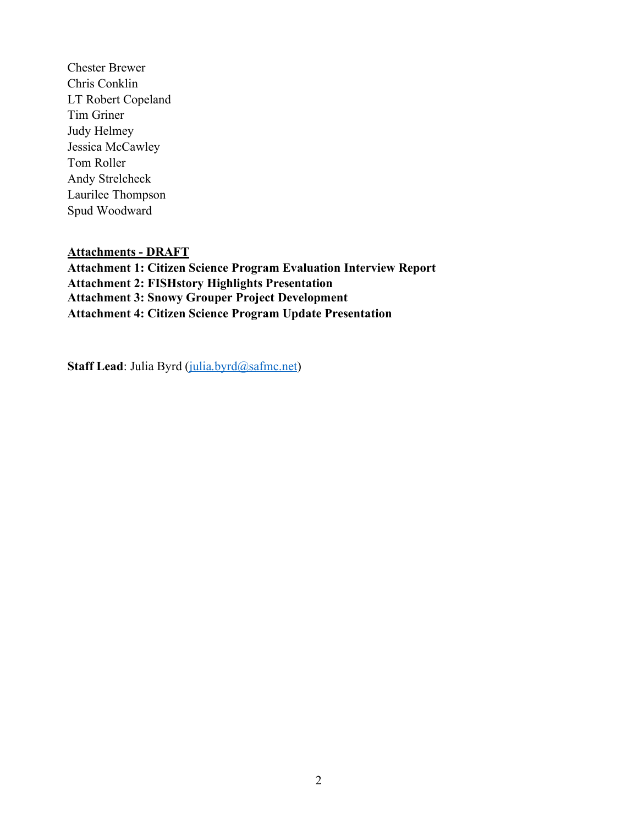Chester Brewer Chris Conklin LT Robert Copeland Tim Griner Judy Helmey Jessica McCawley Tom Roller Andy Strelcheck Laurilee Thompson Spud Woodward

### **Attachments - DRAFT**

**Attachment 1: Citizen Science Program Evaluation Interview Report Attachment 2: FISHstory Highlights Presentation Attachment 3: Snowy Grouper Project Development Attachment 4: Citizen Science Program Update Presentation**

**Staff Lead**: Julia Byrd [\(julia.byrd@safmc.net\)](mailto:julia.byrd@safmc.net)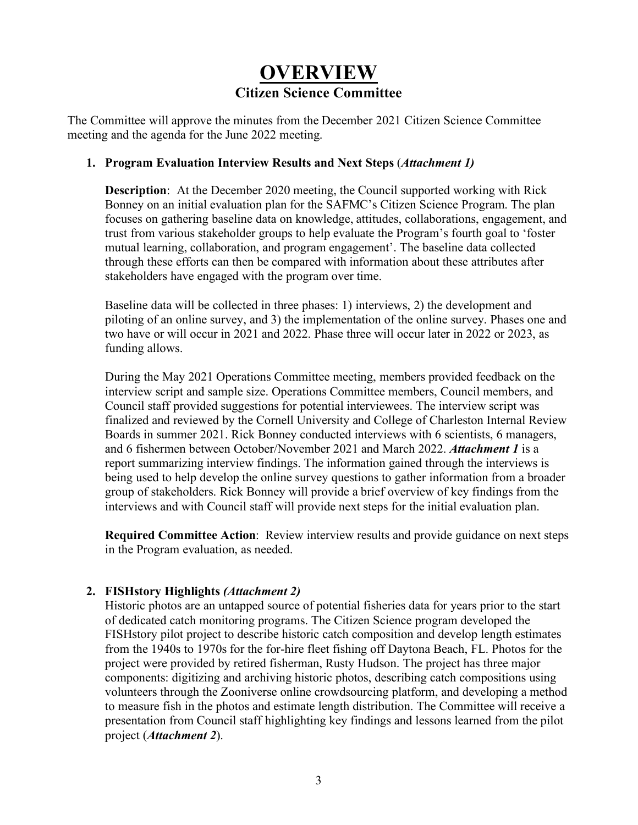# **OVERVIEW Citizen Science Committee**

The Committee will approve the minutes from the December 2021 Citizen Science Committee meeting and the agenda for the June 2022 meeting.

### **1. Program Evaluation Interview Results and Next Steps** (*Attachment 1)*

**Description**: At the December 2020 meeting, the Council supported working with Rick Bonney on an initial evaluation plan for the SAFMC's Citizen Science Program. The plan focuses on gathering baseline data on knowledge, attitudes, collaborations, engagement, and trust from various stakeholder groups to help evaluate the Program's fourth goal to 'foster mutual learning, collaboration, and program engagement'. The baseline data collected through these efforts can then be compared with information about these attributes after stakeholders have engaged with the program over time.

Baseline data will be collected in three phases: 1) interviews, 2) the development and piloting of an online survey, and 3) the implementation of the online survey. Phases one and two have or will occur in 2021 and 2022. Phase three will occur later in 2022 or 2023, as funding allows.

During the May 2021 Operations Committee meeting, members provided feedback on the interview script and sample size. Operations Committee members, Council members, and Council staff provided suggestions for potential interviewees. The interview script was finalized and reviewed by the Cornell University and College of Charleston Internal Review Boards in summer 2021. Rick Bonney conducted interviews with 6 scientists, 6 managers, and 6 fishermen between October/November 2021 and March 2022. *Attachment 1* is a report summarizing interview findings. The information gained through the interviews is being used to help develop the online survey questions to gather information from a broader group of stakeholders. Rick Bonney will provide a brief overview of key findings from the interviews and with Council staff will provide next steps for the initial evaluation plan.

**Required Committee Action**: Review interview results and provide guidance on next steps in the Program evaluation, as needed.

### **2. FISHstory Highlights** *(Attachment 2)*

Historic photos are an untapped source of potential fisheries data for years prior to the start of dedicated catch monitoring programs. The Citizen Science program developed the FISHstory pilot project to describe historic catch composition and develop length estimates from the 1940s to 1970s for the for-hire fleet fishing off Daytona Beach, FL. Photos for the project were provided by retired fisherman, Rusty Hudson. The project has three major components: digitizing and archiving historic photos, describing catch compositions using volunteers through the Zooniverse online crowdsourcing platform, and developing a method to measure fish in the photos and estimate length distribution. The Committee will receive a presentation from Council staff highlighting key findings and lessons learned from the pilot project (*Attachment 2*).